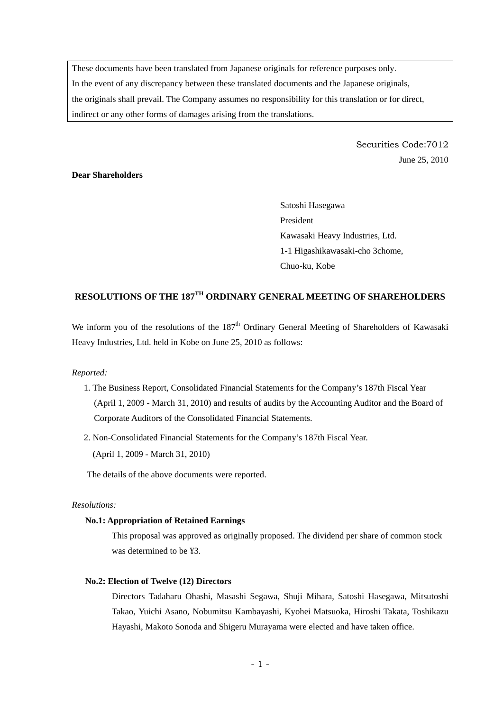These documents have been translated from Japanese originals for reference purposes only. In the event of any discrepancy between these translated documents and the Japanese originals, the originals shall prevail. The Company assumes no responsibility for this translation or for direct, indirect or any other forms of damages arising from the translations.

> Securities Code:7012 June 25, 2010

## **Dear Shareholders**

Satoshi Hasegawa President Kawasaki Heavy Industries, Ltd. 1-1 Higashikawasaki-cho 3chome, Chuo-ku, Kobe

# **RESOLUTIONS OF THE 187TH ORDINARY GENERAL MEETING OF SHAREHOLDERS**

We inform you of the resolutions of the  $187<sup>th</sup>$  Ordinary General Meeting of Shareholders of Kawasaki Heavy Industries, Ltd. held in Kobe on June 25, 2010 as follows:

#### *Reported:*

- 1. The Business Report, Consolidated Financial Statements for the Company's 187th Fiscal Year (April 1, 2009 - March 31, 2010) and results of audits by the Accounting Auditor and the Board of Corporate Auditors of the Consolidated Financial Statements.
- 2. Non-Consolidated Financial Statements for the Company's 187th Fiscal Year. (April 1, 2009 - March 31, 2010)

The details of the above documents were reported.

### *Resolutions:*

#### **No.1: Appropriation of Retained Earnings**

This proposal was approved as originally proposed. The dividend per share of common stock was determined to be ¥3.

#### **No.2: Election of Twelve (12) Directors**

Directors Tadaharu Ohashi, Masashi Segawa, Shuji Mihara, Satoshi Hasegawa, Mitsutoshi Takao, Yuichi Asano, Nobumitsu Kambayashi, Kyohei Matsuoka, Hiroshi Takata, Toshikazu Hayashi, Makoto Sonoda and Shigeru Murayama were elected and have taken office.